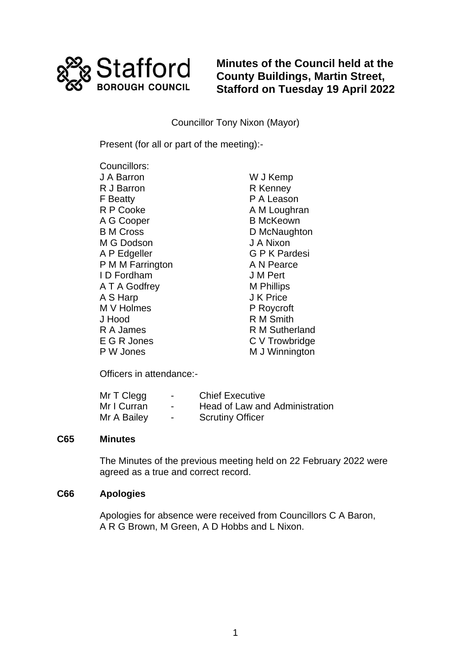

**Minutes of the Council held at the County Buildings, Martin Street, Stafford on Tuesday 19 April 2022**

Councillor Tony Nixon (Mayor)

Present (for all or part of the meeting):-

Councillors: J A Barron R J Barron F Beatty R P Cooke A G Cooper B M Cross M G Dodson A P Edgeller P M M Farrington I D Fordham A T A Godfrey A S Harp M V Holmes J Hood R A James E G R Jones P W Jones

W J Kemp R Kenney P A Leason A M Loughran B McKeown D McNaughton J A Nixon G P K Pardesi A N Pearce J M Pert M Phillips J K Price P Roycroft R M Smith R M Sutherland C V Trowbridge M J Winnington

Officers in attendance:-

| Mr T Clegg  | $\overline{\phantom{0}}$ | <b>Chief Executive</b>         |
|-------------|--------------------------|--------------------------------|
| Mr I Curran | $\overline{\phantom{0}}$ | Head of Law and Administration |
| Mr A Bailey | $\overline{\phantom{0}}$ | <b>Scrutiny Officer</b>        |

#### **C65 Minutes**

The Minutes of the previous meeting held on 22 February 2022 were agreed as a true and correct record.

#### **C66 Apologies**

Apologies for absence were received from Councillors C A Baron, A R G Brown, M Green, A D Hobbs and L Nixon.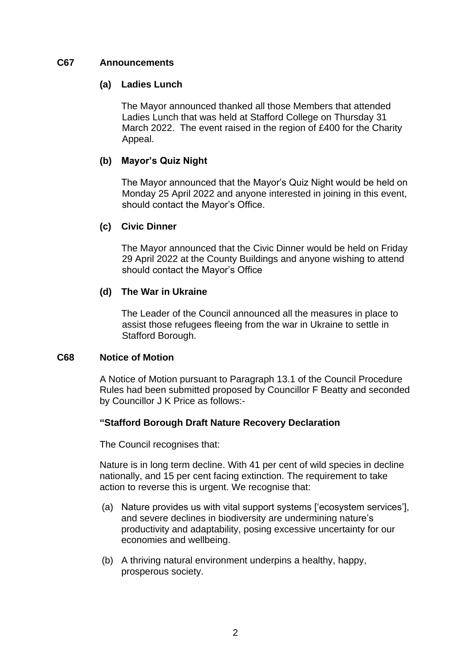## **C67 Announcements**

## **(a) Ladies Lunch**

The Mayor announced thanked all those Members that attended Ladies Lunch that was held at Stafford College on Thursday 31 March 2022. The event raised in the region of £400 for the Charity Appeal.

# **(b) Mayor's Quiz Night**

The Mayor announced that the Mayor's Quiz Night would be held on Monday 25 April 2022 and anyone interested in joining in this event, should contact the Mayor's Office.

## **(c) Civic Dinner**

The Mayor announced that the Civic Dinner would be held on Friday 29 April 2022 at the County Buildings and anyone wishing to attend should contact the Mayor's Office

## **(d) The War in Ukraine**

The Leader of the Council announced all the measures in place to assist those refugees fleeing from the war in Ukraine to settle in Stafford Borough.

## **C68 Notice of Motion**

A Notice of Motion pursuant to Paragraph 13.1 of the Council Procedure Rules had been submitted proposed by Councillor F Beatty and seconded by Councillor J K Price as follows:-

## **"Stafford Borough Draft Nature Recovery Declaration**

The Council recognises that:

Nature is in long term decline. With 41 per cent of wild species in decline nationally, and 15 per cent facing extinction. The requirement to take action to reverse this is urgent. We recognise that:

- (a) Nature provides us with vital support systems ['ecosystem services'], and severe declines in biodiversity are undermining nature's productivity and adaptability, posing excessive uncertainty for our economies and wellbeing.
- (b) A thriving natural environment underpins a healthy, happy, prosperous society.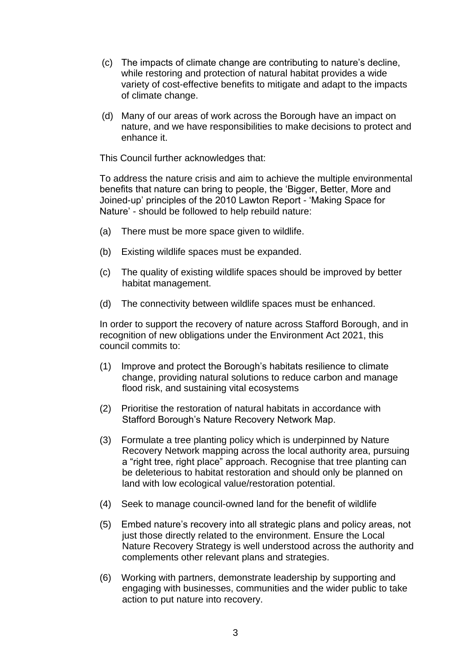- (c) The impacts of climate change are contributing to nature's decline, while restoring and protection of natural habitat provides a wide variety of cost-effective benefits to mitigate and adapt to the impacts of climate change.
- (d) Many of our areas of work across the Borough have an impact on nature, and we have responsibilities to make decisions to protect and enhance it.

This Council further acknowledges that:

To address the nature crisis and aim to achieve the multiple environmental benefits that nature can bring to people, the 'Bigger, Better, More and Joined-up' principles of the 2010 Lawton Report - 'Making Space for Nature' - should be followed to help rebuild nature:

- (a) There must be more space given to wildlife.
- (b) Existing wildlife spaces must be expanded.
- (c) The quality of existing wildlife spaces should be improved by better habitat management.
- (d) The connectivity between wildlife spaces must be enhanced.

In order to support the recovery of nature across Stafford Borough, and in recognition of new obligations under the Environment Act 2021, this council commits to:

- (1) Improve and protect the Borough's habitats resilience to climate change, providing natural solutions to reduce carbon and manage flood risk, and sustaining vital ecosystems
- (2) Prioritise the restoration of natural habitats in accordance with Stafford Borough's Nature Recovery Network Map.
- (3) Formulate a tree planting policy which is underpinned by Nature Recovery Network mapping across the local authority area, pursuing a "right tree, right place" approach. Recognise that tree planting can be deleterious to habitat restoration and should only be planned on land with low ecological value/restoration potential.
- (4) Seek to manage council-owned land for the benefit of wildlife
- (5) Embed nature's recovery into all strategic plans and policy areas, not just those directly related to the environment. Ensure the Local Nature Recovery Strategy is well understood across the authority and complements other relevant plans and strategies.
- (6) Working with partners, demonstrate leadership by supporting and engaging with businesses, communities and the wider public to take action to put nature into recovery.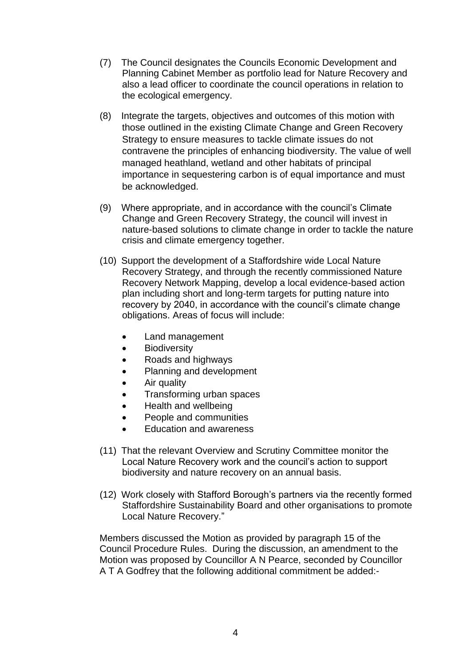- (7) The Council designates the Councils Economic Development and Planning Cabinet Member as portfolio lead for Nature Recovery and also a lead officer to coordinate the council operations in relation to the ecological emergency.
- (8) Integrate the targets, objectives and outcomes of this motion with those outlined in the existing Climate Change and Green Recovery Strategy to ensure measures to tackle climate issues do not contravene the principles of enhancing biodiversity. The value of well managed heathland, wetland and other habitats of principal importance in sequestering carbon is of equal importance and must be acknowledged.
- (9) Where appropriate, and in accordance with the council's Climate Change and Green Recovery Strategy, the council will invest in nature-based solutions to climate change in order to tackle the nature crisis and climate emergency together.
- (10) Support the development of a Staffordshire wide Local Nature Recovery Strategy, and through the recently commissioned Nature Recovery Network Mapping, develop a local evidence-based action plan including short and long-term targets for putting nature into recovery by 2040, in accordance with the council's climate change obligations. Areas of focus will include:
	- Land management
	- **Biodiversity**
	- Roads and highways
	- Planning and development
	- Air quality
	- Transforming urban spaces
	- Health and wellbeing
	- People and communities
	- Education and awareness
- (11) That the relevant Overview and Scrutiny Committee monitor the Local Nature Recovery work and the council's action to support biodiversity and nature recovery on an annual basis.
- (12) Work closely with Stafford Borough's partners via the recently formed Staffordshire Sustainability Board and other organisations to promote Local Nature Recovery."

Members discussed the Motion as provided by paragraph 15 of the Council Procedure Rules. During the discussion, an amendment to the Motion was proposed by Councillor A N Pearce, seconded by Councillor A T A Godfrey that the following additional commitment be added:-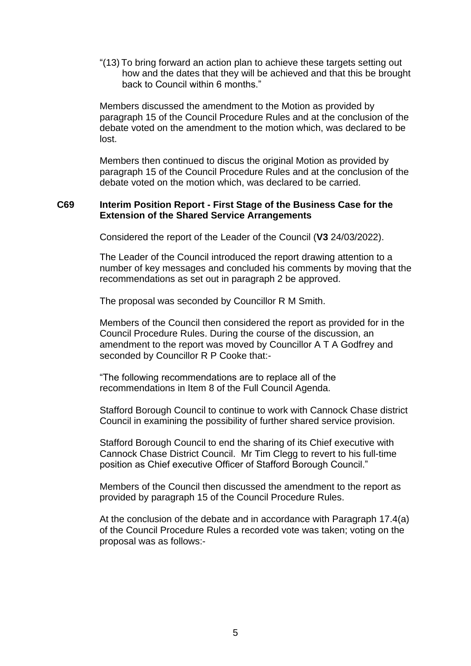"(13) To bring forward an action plan to achieve these targets setting out how and the dates that they will be achieved and that this be brought back to Council within 6 months."

Members discussed the amendment to the Motion as provided by paragraph 15 of the Council Procedure Rules and at the conclusion of the debate voted on the amendment to the motion which, was declared to be lost.

Members then continued to discus the original Motion as provided by paragraph 15 of the Council Procedure Rules and at the conclusion of the debate voted on the motion which, was declared to be carried.

#### **C69 Interim Position Report - First Stage of the Business Case for the Extension of the Shared Service Arrangements**

Considered the report of the Leader of the Council (**V3** 24/03/2022).

The Leader of the Council introduced the report drawing attention to a number of key messages and concluded his comments by moving that the recommendations as set out in paragraph 2 be approved.

The proposal was seconded by Councillor R M Smith.

Members of the Council then considered the report as provided for in the Council Procedure Rules. During the course of the discussion, an amendment to the report was moved by Councillor A T A Godfrey and seconded by Councillor R P Cooke that:-

"The following recommendations are to replace all of the recommendations in Item 8 of the Full Council Agenda.

Stafford Borough Council to continue to work with Cannock Chase district Council in examining the possibility of further shared service provision.

Stafford Borough Council to end the sharing of its Chief executive with Cannock Chase District Council. Mr Tim Clegg to revert to his full-time position as Chief executive Officer of Stafford Borough Council."

Members of the Council then discussed the amendment to the report as provided by paragraph 15 of the Council Procedure Rules.

At the conclusion of the debate and in accordance with Paragraph 17.4(a) of the Council Procedure Rules a recorded vote was taken; voting on the proposal was as follows:-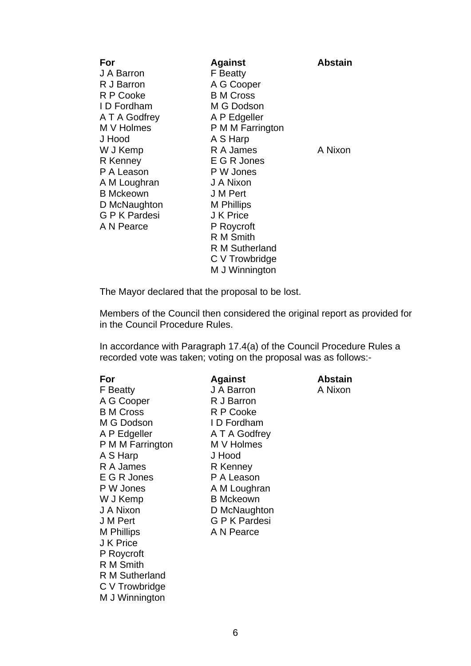| For                | <b>Against</b>        | <b>Abstain</b> |
|--------------------|-----------------------|----------------|
| J A Barron         | <b>F</b> Beatty       |                |
| R J Barron         | A G Cooper            |                |
| R P Cooke          | <b>B</b> M Cross      |                |
| ID Fordham         | M G Dodson            |                |
| A T A Godfrey      | A P Edgeller          |                |
| M V Holmes         | P M M Farrington      |                |
| J Hood             | A S Harp              |                |
| W J Kemp           | R A James             | A Nixon        |
| R Kenney           | E G R Jones           |                |
| P A Leason         | P W Jones             |                |
| A M Loughran       | J A Nixon             |                |
| <b>B</b> Mckeown   | J M Pert              |                |
| D McNaughton       | <b>M</b> Phillips     |                |
| <b>GPK</b> Pardesi | J K Price             |                |
| A N Pearce         | P Roycroft            |                |
|                    | R M Smith             |                |
|                    | <b>R</b> M Sutherland |                |
|                    | C V Trowbridge        |                |
|                    | M J Winnington        |                |

The Mayor declared that the proposal to be lost.

Members of the Council then considered the original report as provided for in the Council Procedure Rules.

In accordance with Paragraph 17.4(a) of the Council Procedure Rules a recorded vote was taken; voting on the proposal was as follows:-

| For              | <b>Against</b>     | <b>Abstain</b> |
|------------------|--------------------|----------------|
| <b>F</b> Beatty  | J A Barron         | A Nixon        |
| A G Cooper       | R J Barron         |                |
| <b>B</b> M Cross | R P Cooke          |                |
| M G Dodson       | ID Fordham         |                |
| A P Edgeller     | A T A Godfrey      |                |
| P M M Farrington | M V Holmes         |                |
| A S Harp         | J Hood             |                |
| R A James        | R Kenney           |                |
| E G R Jones      | P A Leason         |                |
| P W Jones        | A M Loughran       |                |
| W J Kemp         | <b>B</b> Mckeown   |                |
| J A Nixon        | D McNaughton       |                |
| J M Pert         | <b>GPK</b> Pardesi |                |
| M Phillips       | A N Pearce         |                |
| J K Price        |                    |                |
| P Roycroft       |                    |                |
| R M Smith        |                    |                |
| R M Sutherland   |                    |                |
| C V Trowbridge   |                    |                |
| M J Winnington   |                    |                |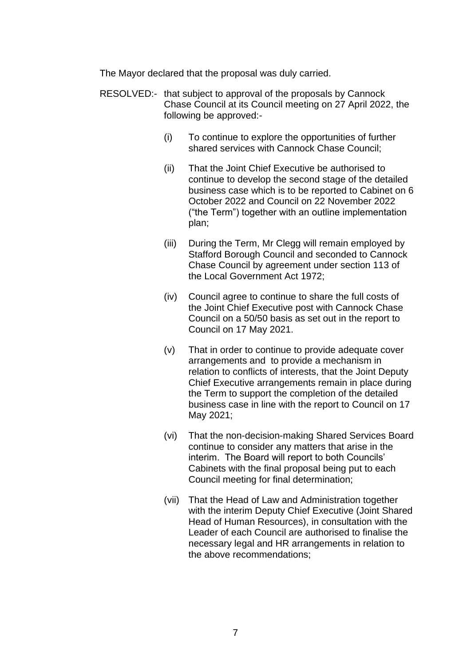The Mayor declared that the proposal was duly carried.

- RESOLVED:- that subject to approval of the proposals by Cannock Chase Council at its Council meeting on 27 April 2022, the following be approved:-
	- (i) To continue to explore the opportunities of further shared services with Cannock Chase Council;
	- (ii) That the Joint Chief Executive be authorised to continue to develop the second stage of the detailed business case which is to be reported to Cabinet on 6 October 2022 and Council on 22 November 2022 ("the Term") together with an outline implementation plan;
	- (iii) During the Term, Mr Clegg will remain employed by Stafford Borough Council and seconded to Cannock Chase Council by agreement under section 113 of the Local Government Act 1972;
	- (iv) Council agree to continue to share the full costs of the Joint Chief Executive post with Cannock Chase Council on a 50/50 basis as set out in the report to Council on 17 May 2021.
	- (v) That in order to continue to provide adequate cover arrangements and to provide a mechanism in relation to conflicts of interests, that the Joint Deputy Chief Executive arrangements remain in place during the Term to support the completion of the detailed business case in line with the report to Council on 17 May 2021;
	- (vi) That the non-decision-making Shared Services Board continue to consider any matters that arise in the interim. The Board will report to both Councils' Cabinets with the final proposal being put to each Council meeting for final determination;
	- (vii) That the Head of Law and Administration together with the interim Deputy Chief Executive (Joint Shared Head of Human Resources), in consultation with the Leader of each Council are authorised to finalise the necessary legal and HR arrangements in relation to the above recommendations;